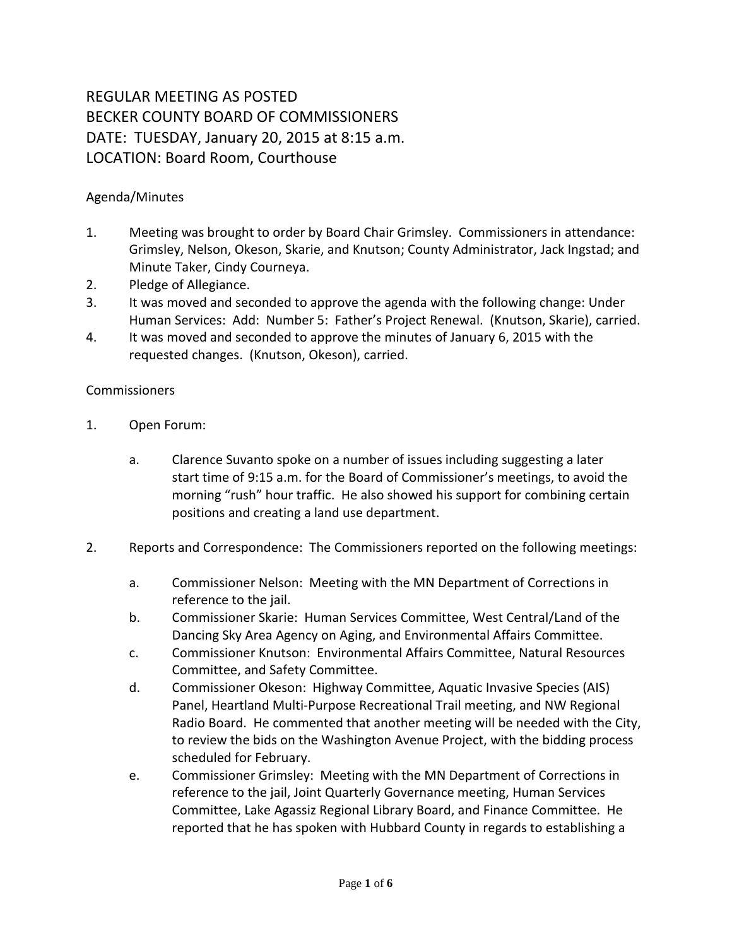## REGULAR MEETING AS POSTED BECKER COUNTY BOARD OF COMMISSIONERS DATE: TUESDAY, January 20, 2015 at 8:15 a.m. LOCATION: Board Room, Courthouse

## Agenda/Minutes

- 1. Meeting was brought to order by Board Chair Grimsley. Commissioners in attendance: Grimsley, Nelson, Okeson, Skarie, and Knutson; County Administrator, Jack Ingstad; and Minute Taker, Cindy Courneya.
- 2. Pledge of Allegiance.
- 3. It was moved and seconded to approve the agenda with the following change: Under Human Services: Add: Number 5: Father's Project Renewal. (Knutson, Skarie), carried.
- 4. It was moved and seconded to approve the minutes of January 6, 2015 with the requested changes. (Knutson, Okeson), carried.

## Commissioners

- 1. Open Forum:
	- a. Clarence Suvanto spoke on a number of issues including suggesting a later start time of 9:15 a.m. for the Board of Commissioner's meetings, to avoid the morning "rush" hour traffic. He also showed his support for combining certain positions and creating a land use department.
- 2. Reports and Correspondence: The Commissioners reported on the following meetings:
	- a. Commissioner Nelson: Meeting with the MN Department of Corrections in reference to the jail.
	- b. Commissioner Skarie: Human Services Committee, West Central/Land of the Dancing Sky Area Agency on Aging, and Environmental Affairs Committee.
	- c. Commissioner Knutson: Environmental Affairs Committee, Natural Resources Committee, and Safety Committee.
	- d. Commissioner Okeson: Highway Committee, Aquatic Invasive Species (AIS) Panel, Heartland Multi-Purpose Recreational Trail meeting, and NW Regional Radio Board. He commented that another meeting will be needed with the City, to review the bids on the Washington Avenue Project, with the bidding process scheduled for February.
	- e. Commissioner Grimsley: Meeting with the MN Department of Corrections in reference to the jail, Joint Quarterly Governance meeting, Human Services Committee, Lake Agassiz Regional Library Board, and Finance Committee. He reported that he has spoken with Hubbard County in regards to establishing a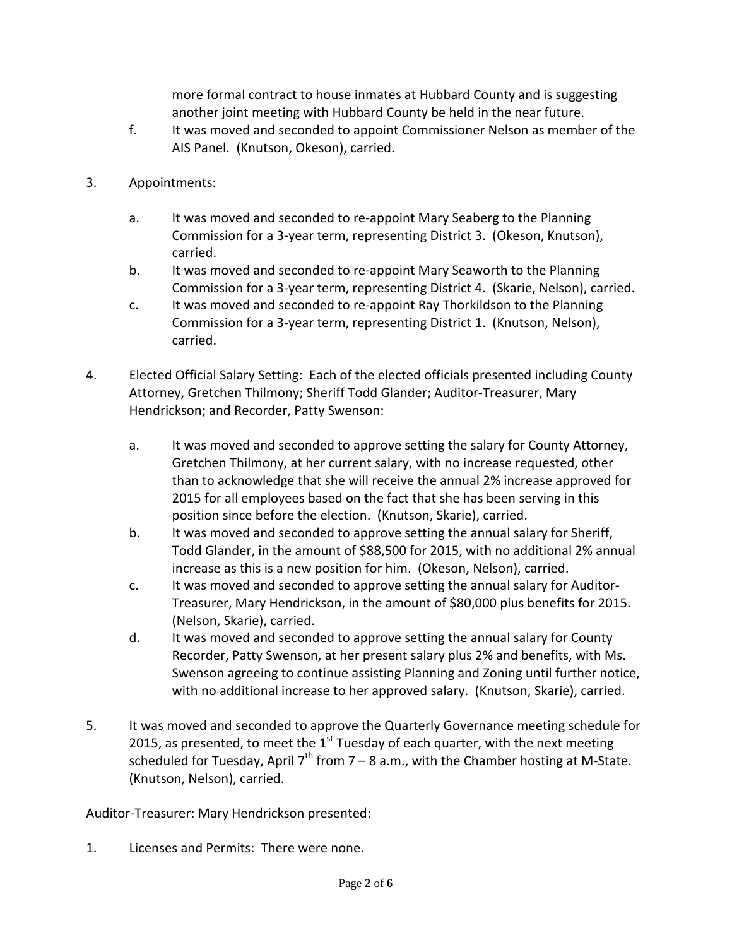more formal contract to house inmates at Hubbard County and is suggesting another joint meeting with Hubbard County be held in the near future.

- f. It was moved and seconded to appoint Commissioner Nelson as member of the AIS Panel. (Knutson, Okeson), carried.
- 3. Appointments:
	- a. It was moved and seconded to re-appoint Mary Seaberg to the Planning Commission for a 3-year term, representing District 3. (Okeson, Knutson), carried.
	- b. It was moved and seconded to re-appoint Mary Seaworth to the Planning Commission for a 3-year term, representing District 4. (Skarie, Nelson), carried.
	- c. It was moved and seconded to re-appoint Ray Thorkildson to the Planning Commission for a 3-year term, representing District 1. (Knutson, Nelson), carried.
- 4. Elected Official Salary Setting: Each of the elected officials presented including County Attorney, Gretchen Thilmony; Sheriff Todd Glander; Auditor-Treasurer, Mary Hendrickson; and Recorder, Patty Swenson:
	- a. It was moved and seconded to approve setting the salary for County Attorney, Gretchen Thilmony, at her current salary, with no increase requested, other than to acknowledge that she will receive the annual 2% increase approved for 2015 for all employees based on the fact that she has been serving in this position since before the election. (Knutson, Skarie), carried.
	- b. It was moved and seconded to approve setting the annual salary for Sheriff, Todd Glander, in the amount of \$88,500 for 2015, with no additional 2% annual increase as this is a new position for him. (Okeson, Nelson), carried.
	- c. It was moved and seconded to approve setting the annual salary for Auditor-Treasurer, Mary Hendrickson, in the amount of \$80,000 plus benefits for 2015. (Nelson, Skarie), carried.
	- d. It was moved and seconded to approve setting the annual salary for County Recorder, Patty Swenson, at her present salary plus 2% and benefits, with Ms. Swenson agreeing to continue assisting Planning and Zoning until further notice, with no additional increase to her approved salary. (Knutson, Skarie), carried.
- 5. It was moved and seconded to approve the Quarterly Governance meeting schedule for 2015, as presented, to meet the  $1<sup>st</sup>$  Tuesday of each quarter, with the next meeting scheduled for Tuesday, April  $7<sup>th</sup>$  from 7 – 8 a.m., with the Chamber hosting at M-State. (Knutson, Nelson), carried.

Auditor-Treasurer: Mary Hendrickson presented:

1. Licenses and Permits: There were none.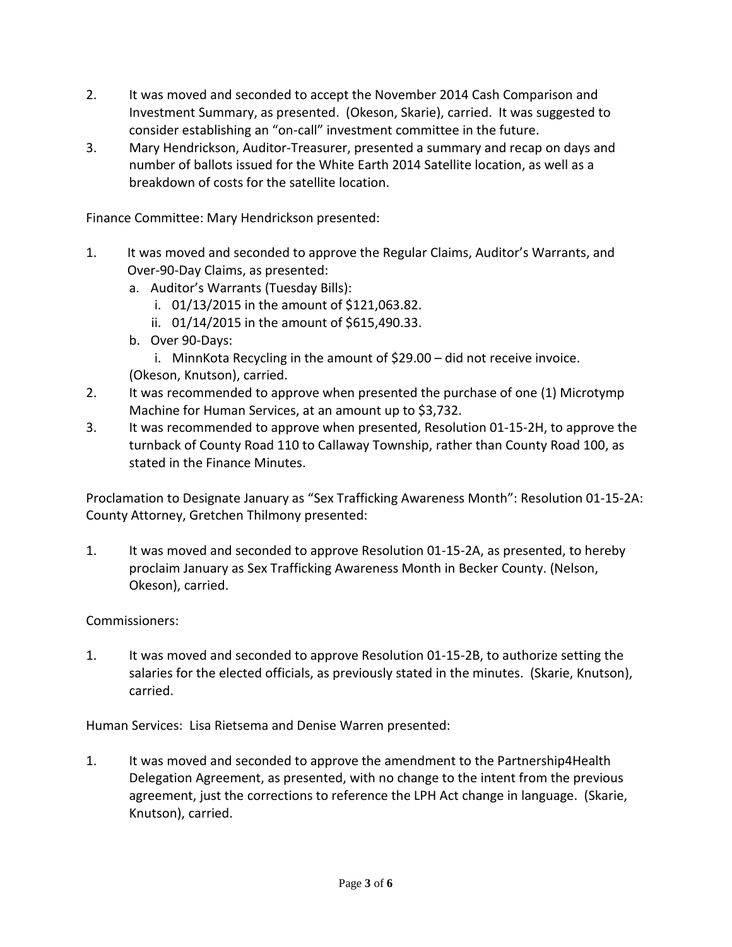- 2. It was moved and seconded to accept the November 2014 Cash Comparison and Investment Summary, as presented. (Okeson, Skarie), carried. It was suggested to consider establishing an "on-call" investment committee in the future.
- 3. Mary Hendrickson, Auditor-Treasurer, presented a summary and recap on days and number of ballots issued for the White Earth 2014 Satellite location, as well as a breakdown of costs for the satellite location.

Finance Committee: Mary Hendrickson presented:

- 1. It was moved and seconded to approve the Regular Claims, Auditor's Warrants, and Over-90-Day Claims, as presented:
	- a. Auditor's Warrants (Tuesday Bills):
		- i. 01/13/2015 in the amount of \$121,063.82.
		- ii. 01/14/2015 in the amount of \$615,490.33.
	- b. Over 90-Days:
		- i. MinnKota Recycling in the amount of \$29.00 did not receive invoice.
	- (Okeson, Knutson), carried.
- 2. It was recommended to approve when presented the purchase of one (1) Microtymp Machine for Human Services, at an amount up to \$3,732.
- 3. It was recommended to approve when presented, Resolution 01-15-2H, to approve the turnback of County Road 110 to Callaway Township, rather than County Road 100, as stated in the Finance Minutes.

Proclamation to Designate January as "Sex Trafficking Awareness Month": Resolution 01-15-2A: County Attorney, Gretchen Thilmony presented:

1. It was moved and seconded to approve Resolution 01-15-2A, as presented, to hereby proclaim January as Sex Trafficking Awareness Month in Becker County. (Nelson, Okeson), carried.

## Commissioners:

1. It was moved and seconded to approve Resolution 01-15-2B, to authorize setting the salaries for the elected officials, as previously stated in the minutes. (Skarie, Knutson), carried.

Human Services: Lisa Rietsema and Denise Warren presented:

1. It was moved and seconded to approve the amendment to the Partnership4Health Delegation Agreement, as presented, with no change to the intent from the previous agreement, just the corrections to reference the LPH Act change in language. (Skarie, Knutson), carried.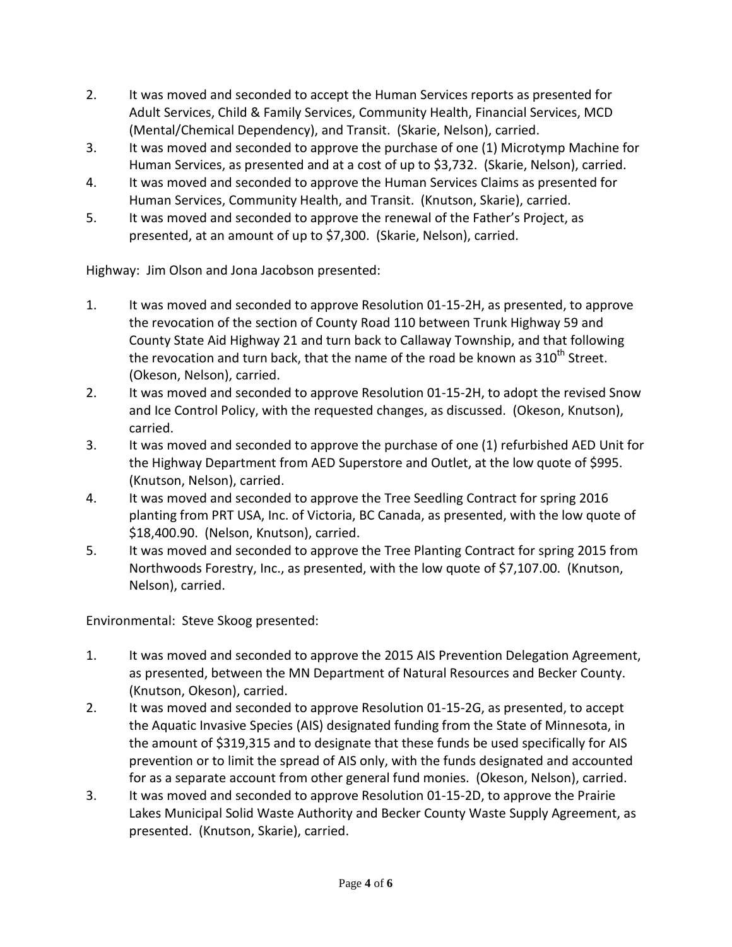- 2. It was moved and seconded to accept the Human Services reports as presented for Adult Services, Child & Family Services, Community Health, Financial Services, MCD (Mental/Chemical Dependency), and Transit. (Skarie, Nelson), carried.
- 3. It was moved and seconded to approve the purchase of one (1) Microtymp Machine for Human Services, as presented and at a cost of up to \$3,732. (Skarie, Nelson), carried.
- 4. It was moved and seconded to approve the Human Services Claims as presented for Human Services, Community Health, and Transit. (Knutson, Skarie), carried.
- 5. It was moved and seconded to approve the renewal of the Father's Project, as presented, at an amount of up to \$7,300. (Skarie, Nelson), carried.

Highway: Jim Olson and Jona Jacobson presented:

- 1. It was moved and seconded to approve Resolution 01-15-2H, as presented, to approve the revocation of the section of County Road 110 between Trunk Highway 59 and County State Aid Highway 21 and turn back to Callaway Township, and that following the revocation and turn back, that the name of the road be known as  $310^{th}$  Street. (Okeson, Nelson), carried.
- 2. It was moved and seconded to approve Resolution 01-15-2H, to adopt the revised Snow and Ice Control Policy, with the requested changes, as discussed. (Okeson, Knutson), carried.
- 3. It was moved and seconded to approve the purchase of one (1) refurbished AED Unit for the Highway Department from AED Superstore and Outlet, at the low quote of \$995. (Knutson, Nelson), carried.
- 4. It was moved and seconded to approve the Tree Seedling Contract for spring 2016 planting from PRT USA, Inc. of Victoria, BC Canada, as presented, with the low quote of \$18,400.90. (Nelson, Knutson), carried.
- 5. It was moved and seconded to approve the Tree Planting Contract for spring 2015 from Northwoods Forestry, Inc., as presented, with the low quote of \$7,107.00. (Knutson, Nelson), carried.

Environmental: Steve Skoog presented:

- 1. It was moved and seconded to approve the 2015 AIS Prevention Delegation Agreement, as presented, between the MN Department of Natural Resources and Becker County. (Knutson, Okeson), carried.
- 2. It was moved and seconded to approve Resolution 01-15-2G, as presented, to accept the Aquatic Invasive Species (AIS) designated funding from the State of Minnesota, in the amount of \$319,315 and to designate that these funds be used specifically for AIS prevention or to limit the spread of AIS only, with the funds designated and accounted for as a separate account from other general fund monies. (Okeson, Nelson), carried.
- 3. It was moved and seconded to approve Resolution 01-15-2D, to approve the Prairie Lakes Municipal Solid Waste Authority and Becker County Waste Supply Agreement, as presented. (Knutson, Skarie), carried.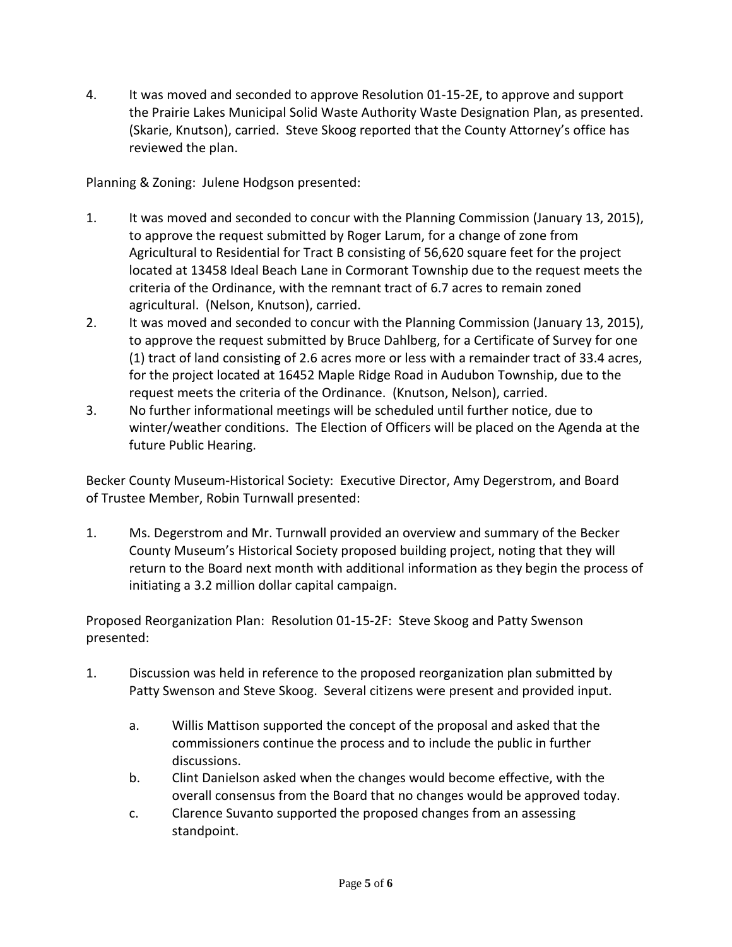4. It was moved and seconded to approve Resolution 01-15-2E, to approve and support the Prairie Lakes Municipal Solid Waste Authority Waste Designation Plan, as presented. (Skarie, Knutson), carried. Steve Skoog reported that the County Attorney's office has reviewed the plan.

Planning & Zoning: Julene Hodgson presented:

- 1. It was moved and seconded to concur with the Planning Commission (January 13, 2015), to approve the request submitted by Roger Larum, for a change of zone from Agricultural to Residential for Tract B consisting of 56,620 square feet for the project located at 13458 Ideal Beach Lane in Cormorant Township due to the request meets the criteria of the Ordinance, with the remnant tract of 6.7 acres to remain zoned agricultural. (Nelson, Knutson), carried.
- 2. It was moved and seconded to concur with the Planning Commission (January 13, 2015), to approve the request submitted by Bruce Dahlberg, for a Certificate of Survey for one (1) tract of land consisting of 2.6 acres more or less with a remainder tract of 33.4 acres, for the project located at 16452 Maple Ridge Road in Audubon Township, due to the request meets the criteria of the Ordinance. (Knutson, Nelson), carried.
- 3. No further informational meetings will be scheduled until further notice, due to winter/weather conditions. The Election of Officers will be placed on the Agenda at the future Public Hearing.

Becker County Museum-Historical Society: Executive Director, Amy Degerstrom, and Board of Trustee Member, Robin Turnwall presented:

1. Ms. Degerstrom and Mr. Turnwall provided an overview and summary of the Becker County Museum's Historical Society proposed building project, noting that they will return to the Board next month with additional information as they begin the process of initiating a 3.2 million dollar capital campaign.

Proposed Reorganization Plan: Resolution 01-15-2F: Steve Skoog and Patty Swenson presented:

- 1. Discussion was held in reference to the proposed reorganization plan submitted by Patty Swenson and Steve Skoog. Several citizens were present and provided input.
	- a. Willis Mattison supported the concept of the proposal and asked that the commissioners continue the process and to include the public in further discussions.
	- b. Clint Danielson asked when the changes would become effective, with the overall consensus from the Board that no changes would be approved today.
	- c. Clarence Suvanto supported the proposed changes from an assessing standpoint.